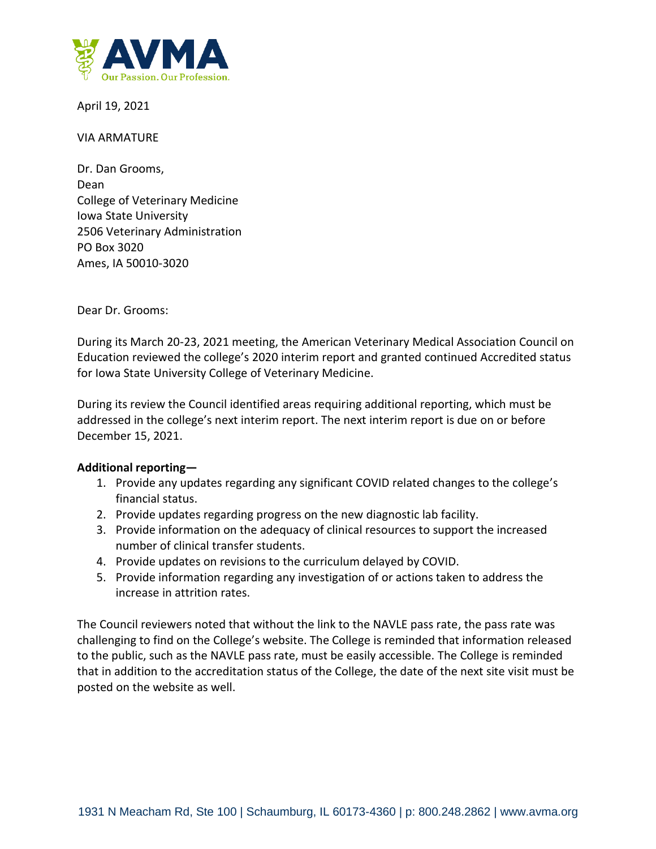

April 19, 2021

## VIA ARMATURE

Dr. Dan Grooms, Dean College of Veterinary Medicine Iowa State University 2506 Veterinary Administration PO Box 3020 Ames, IA 50010-3020

Dear Dr. Grooms:

During its March 20-23, 2021 meeting, the American Veterinary Medical Association Council on Education reviewed the college's 2020 interim report and granted continued Accredited status for Iowa State University College of Veterinary Medicine.

During its review the Council identified areas requiring additional reporting, which must be addressed in the college's next interim report. The next interim report is due on or before December 15, 2021.

## **Additional reporting—**

- 1. Provide any updates regarding any significant COVID related changes to the college's financial status.
- 2. Provide updates regarding progress on the new diagnostic lab facility.
- 3. Provide information on the adequacy of clinical resources to support the increased number of clinical transfer students.
- 4. Provide updates on revisions to the curriculum delayed by COVID.
- 5. Provide information regarding any investigation of or actions taken to address the increase in attrition rates.

The Council reviewers noted that without the link to the NAVLE pass rate, the pass rate was challenging to find on the College's website. The College is reminded that information released to the public, such as the NAVLE pass rate, must be easily accessible. The College is reminded that in addition to the accreditation status of the College, the date of the next site visit must be posted on the website as well.